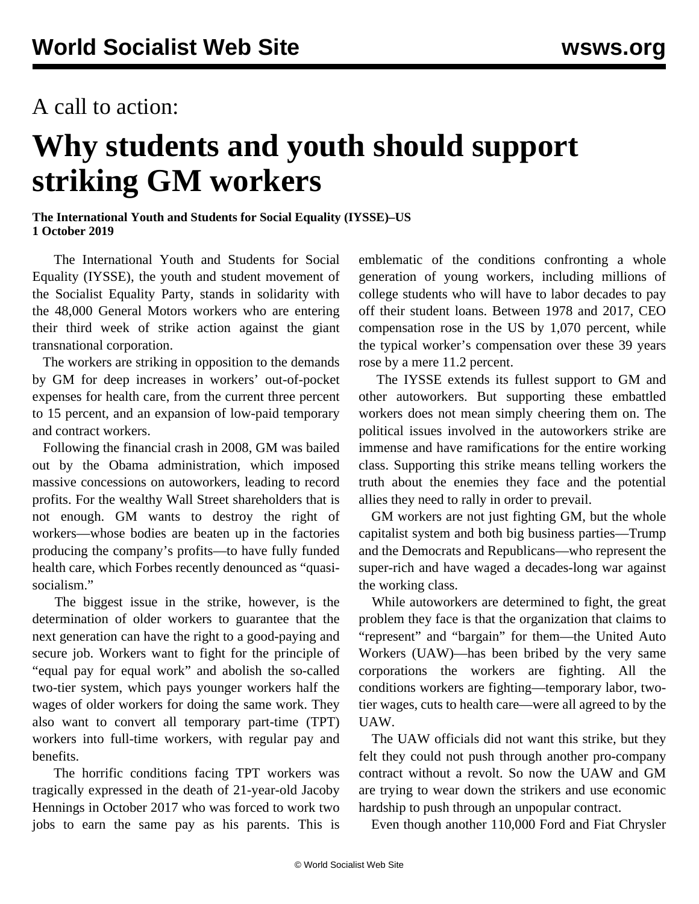## A call to action:

## **Why students and youth should support striking GM workers**

**The International Youth and Students for Social Equality (IYSSE)–US 1 October 2019**

 The International Youth and Students for Social Equality (IYSSE), the youth and student movement of the Socialist Equality Party, stands in solidarity with the 48,000 General Motors workers who are entering their third week of strike action against the giant transnational corporation.

 The workers are striking in opposition to the demands by GM for deep increases in workers' out-of-pocket expenses for health care, from the current three percent to 15 percent, and an expansion of low-paid temporary and contract workers.

 Following the financial crash in 2008, GM was bailed out by the Obama administration, which imposed massive concessions on autoworkers, leading to record profits. For the wealthy Wall Street shareholders that is not enough. GM wants to destroy the right of workers—whose bodies are beaten up in the factories producing the company's profits—to have fully funded health care, which Forbes recently denounced as "quasisocialism."

 The biggest issue in the strike, however, is the determination of older workers to guarantee that the next generation can have the right to a good-paying and secure job. Workers want to fight for the principle of "equal pay for equal work" and abolish the so-called two-tier system, which pays younger workers half the wages of older workers for doing the same work. They also want to convert all temporary part-time (TPT) workers into full-time workers, with regular pay and benefits.

 The horrific conditions facing TPT workers was tragically expressed in the death of 21-year-old Jacoby Hennings in October 2017 who was forced to work two jobs to earn the same pay as his parents. This is

emblematic of the conditions confronting a whole generation of young workers, including millions of college students who will have to labor decades to pay off their student loans. Between 1978 and 2017, CEO compensation rose in the US by 1,070 percent, while the typical worker's compensation over these 39 years rose by a mere 11.2 percent.

 The IYSSE extends its fullest support to GM and other autoworkers. But supporting these embattled workers does not mean simply cheering them on. The political issues involved in the autoworkers strike are immense and have ramifications for the entire working class. Supporting this strike means telling workers the truth about the enemies they face and the potential allies they need to rally in order to prevail.

 GM workers are not just fighting GM, but the whole capitalist system and both big business parties—Trump and the Democrats and Republicans—who represent the super-rich and have waged a decades-long war against the working class.

 While autoworkers are determined to fight, the great problem they face is that the organization that claims to "represent" and "bargain" for them—the United Auto Workers (UAW)—has been bribed by the very same corporations the workers are fighting. All the conditions workers are fighting—temporary labor, twotier wages, cuts to health care—were all agreed to by the UAW.

 The UAW officials did not want this strike, but they felt they could not push through another pro-company contract without a revolt. So now the UAW and GM are trying to wear down the strikers and use economic hardship to push through an unpopular contract.

Even though another 110,000 Ford and Fiat Chrysler